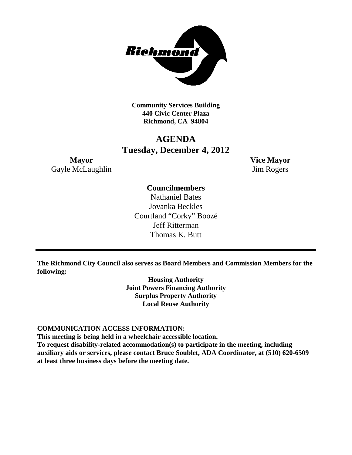

**Community Services Building 440 Civic Center Plaza Richmond, CA 94804**

## **AGENDA Tuesday, December 4, 2012**

**Mayor Vice Mayor** Gayle McLaughlin Jim Rogers

## **Councilmembers**

Nathaniel Bates Jovanka Beckles Courtland "Corky" Boozé Jeff Ritterman Thomas K. Butt

**The Richmond City Council also serves as Board Members and Commission Members for the following:**

> **Housing Authority Joint Powers Financing Authority Surplus Property Authority Local Reuse Authority**

#### **COMMUNICATION ACCESS INFORMATION:**

**This meeting is being held in a wheelchair accessible location.**

**To request disability-related accommodation(s) to participate in the meeting, including auxiliary aids or services, please contact Bruce Soublet, ADA Coordinator, at (510) 620-6509 at least three business days before the meeting date.**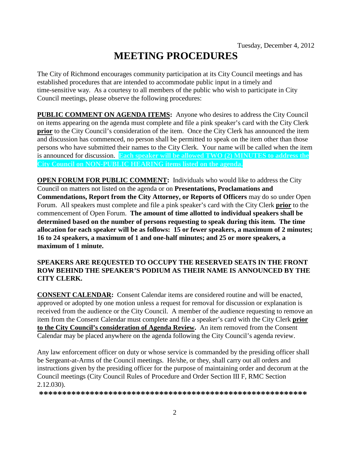# **MEETING PROCEDURES**

The City of Richmond encourages community participation at its City Council meetings and has established procedures that are intended to accommodate public input in a timely and time-sensitive way. As a courtesy to all members of the public who wish to participate in City Council meetings, please observe the following procedures:

**PUBLIC COMMENT ON AGENDA ITEMS:** Anyone who desires to address the City Council on items appearing on the agenda must complete and file a pink speaker's card with the City Clerk **prior** to the City Council's consideration of the item. Once the City Clerk has announced the item and discussion has commenced, no person shall be permitted to speak on the item other than those persons who have submitted their names to the City Clerk. Your name will be called when the item is announced for discussion. **Each speaker will be allowed TWO (2) MINUTES to address the City Council on NON-PUBLIC HEARING items listed on the agenda.**

**OPEN FORUM FOR PUBLIC COMMENT:** Individuals who would like to address the City Council on matters not listed on the agenda or on **Presentations, Proclamations and Commendations, Report from the City Attorney, or Reports of Officers** may do so under Open Forum. All speakers must complete and file a pink speaker's card with the City Clerk **prior** to the commencement of Open Forum. **The amount of time allotted to individual speakers shall be determined based on the number of persons requesting to speak during this item. The time allocation for each speaker will be as follows: 15 or fewer speakers, a maximum of 2 minutes; 16 to 24 speakers, a maximum of 1 and one-half minutes; and 25 or more speakers, a maximum of 1 minute.**

#### **SPEAKERS ARE REQUESTED TO OCCUPY THE RESERVED SEATS IN THE FRONT ROW BEHIND THE SPEAKER'S PODIUM AS THEIR NAME IS ANNOUNCED BY THE CITY CLERK.**

**CONSENT CALENDAR:** Consent Calendar items are considered routine and will be enacted, approved or adopted by one motion unless a request for removal for discussion or explanation is received from the audience or the City Council. A member of the audience requesting to remove an item from the Consent Calendar must complete and file a speaker's card with the City Clerk **prior to the City Council's consideration of Agenda Review.** An item removed from the Consent Calendar may be placed anywhere on the agenda following the City Council's agenda review.

Any law enforcement officer on duty or whose service is commanded by the presiding officer shall be Sergeant-at-Arms of the Council meetings. He/she, or they, shall carry out all orders and instructions given by the presiding officer for the purpose of maintaining order and decorum at the Council meetings (City Council Rules of Procedure and Order Section III F, RMC Section 2.12.030).

**\*\*\*\*\*\*\*\*\*\*\*\*\*\*\*\*\*\*\*\*\*\*\*\*\*\*\*\*\*\*\*\*\*\*\*\*\*\*\*\*\*\*\*\*\*\*\*\*\*\*\*\*\*\*\*\*\*\***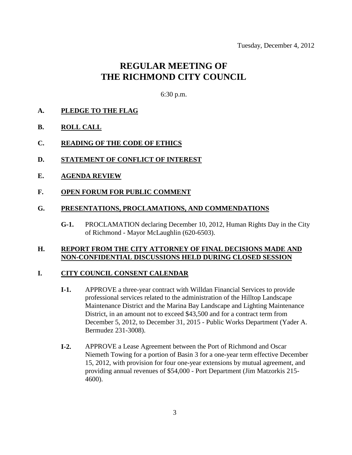## **REGULAR MEETING OF THE RICHMOND CITY COUNCIL**

6:30 p.m.

- **A. PLEDGE TO THE FLAG**
- **B. ROLL CALL**
- **C. READING OF THE CODE OF ETHICS**
- **D. STATEMENT OF CONFLICT OF INTEREST**
- **E. AGENDA REVIEW**
- **F. OPEN FORUM FOR PUBLIC COMMENT**

#### **G. PRESENTATIONS, PROCLAMATIONS, AND COMMENDATIONS**

**G-1.** PROCLAMATION declaring December 10, 2012, Human Rights Day in the City of Richmond - Mayor McLaughlin (620-6503).

#### **H. REPORT FROM THE CITY ATTORNEY OF FINAL DECISIONS MADE AND NON-CONFIDENTIAL DISCUSSIONS HELD DURING CLOSED SESSION**

#### **I. CITY COUNCIL CONSENT CALENDAR**

- **I-1.** APPROVE a three-year contract with Willdan Financial Services to provide professional services related to the administration of the Hilltop Landscape Maintenance District and the Marina Bay Landscape and Lighting Maintenance District, in an amount not to exceed \$43,500 and for a contract term from December 5, 2012, to December 31, 2015 - Public Works Department (Yader A. Bermudez 231-3008).
- **I-2.** APPROVE a Lease Agreement between the Port of Richmond and Oscar Niemeth Towing for a portion of Basin 3 for a one-year term effective December 15, 2012, with provision for four one-year extensions by mutual agreement, and providing annual revenues of \$54,000 - Port Department (Jim Matzorkis 215- 4600).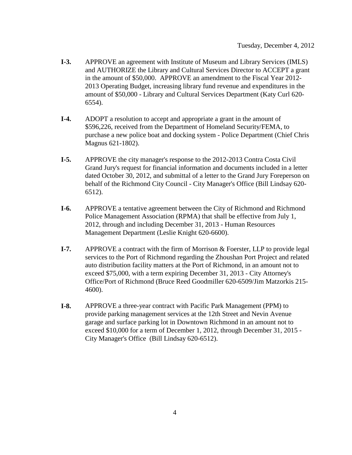- **I-3.** APPROVE an agreement with Institute of Museum and Library Services (IMLS) and AUTHORIZE the Library and Cultural Services Director to ACCEPT a grant in the amount of \$50,000. APPROVE an amendment to the Fiscal Year 2012- 2013 Operating Budget, increasing library fund revenue and expenditures in the amount of \$50,000 - Library and Cultural Services Department (Katy Curl 620- 6554).
- **I-4.** ADOPT a resolution to accept and appropriate a grant in the amount of \$596,226, received from the Department of Homeland Security/FEMA, to purchase a new police boat and docking system - Police Department (Chief Chris Magnus 621-1802).
- **I-5.** APPROVE the city manager's response to the 2012-2013 Contra Costa Civil Grand Jury's request for financial information and documents included in a letter dated October 30, 2012, and submittal of a letter to the Grand Jury Foreperson on behalf of the Richmond City Council - City Manager's Office (Bill Lindsay 620- 6512).
- **I-6.** APPROVE a tentative agreement between the City of Richmond and Richmond Police Management Association (RPMA) that shall be effective from July 1, 2012, through and including December 31, 2013 - Human Resources Management Department (Leslie Knight 620-6600).
- **I-7.** APPROVE a contract with the firm of Morrison & Foerster, LLP to provide legal services to the Port of Richmond regarding the Zhoushan Port Project and related auto distribution facility matters at the Port of Richmond, in an amount not to exceed \$75,000, with a term expiring December 31, 2013 - City Attorney's Office/Port of Richmond (Bruce Reed Goodmiller 620-6509/Jim Matzorkis 215- 4600).
- **I-8.** APPROVE a three-year contract with Pacific Park Management (PPM) to provide parking management services at the 12th Street and Nevin Avenue garage and surface parking lot in Downtown Richmond in an amount not to exceed \$10,000 for a term of December 1, 2012, through December 31, 2015 - City Manager's Office (Bill Lindsay 620-6512).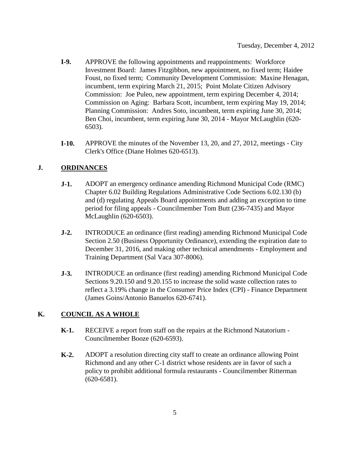- **I-9.** APPROVE the following appointments and reappointments: Workforce Investment Board: James Fitzgibbon, new appointment, no fixed term; Haidee Foust, no fixed term; Community Development Commission: Maxine Henagan, incumbent, term expiring March 21, 2015; Point Molate Citizen Advisory Commission: Joe Puleo, new appointment, term expiring December 4, 2014; Commission on Aging: Barbara Scott, incumbent, term expiring May 19, 2014; Planning Commission: Andres Soto, incumbent, term expiring June 30, 2014; Ben Choi, incumbent, term expiring June 30, 2014 - Mayor McLaughlin (620- 6503).
- **I-10.** APPROVE the minutes of the November 13, 20, and 27, 2012, meetings City Clerk's Office (Diane Holmes 620-6513).

### **J. ORDINANCES**

- **J-1.** ADOPT an emergency ordinance amending Richmond Municipal Code (RMC) Chapter 6.02 Building Regulations Administrative Code Sections 6.02.130 (b) and (d) regulating Appeals Board appointments and adding an exception to time period for filing appeals - Councilmember Tom Butt (236-7435) and Mayor McLaughlin (620-6503).
- **J-2.** INTRODUCE an ordinance (first reading) amending Richmond Municipal Code Section 2.50 (Business Opportunity Ordinance), extending the expiration date to December 31, 2016, and making other technical amendments - Employment and Training Department (Sal Vaca 307-8006).
- **J-3.** INTRODUCE an ordinance (first reading) amending Richmond Municipal Code Sections 9.20.150 and 9.20.155 to increase the solid waste collection rates to reflect a 3.19% change in the Consumer Price Index (CPI) - Finance Department (James Goins/Antonio Banuelos 620-6741).

## **K. COUNCIL AS A WHOLE**

- **K-1.** RECEIVE a report from staff on the repairs at the Richmond Natatorium Councilmember Booze (620-6593).
- **K-2.** ADOPT a resolution directing city staff to create an ordinance allowing Point Richmond and any other C-1 district whose residents are in favor of such a policy to prohibit additional formula restaurants - Councilmember Ritterman (620-6581).